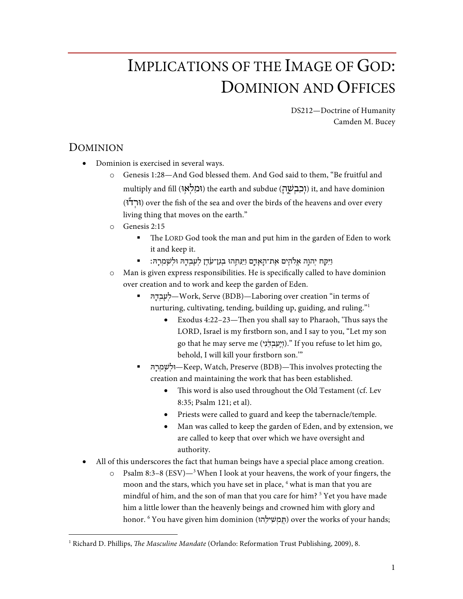# IMPLICATIONS OF THE IMAGE OF GOD: DOMINION AND OFFICES

DS212—Doctrine of Humanity Camden M. Bucey

## DOMINION

- Dominion is exercised in several ways.
	- o Genesis 1:28—And God blessed them. And God said to them, "Be fruitful and multiply and fill (וּמלֹאוּ) the earth and subdue (וֹכְבְשׁה) it, and have dominion (וּרְדֹּל) over the fish of the sea and over the birds of the heavens and over every living thing that moves on the earth."
	- o Genesis 2:15
		- The LORD God took the man and put him in the garden of Eden to work it and keep it.
		- וַיִּקַּח יְהוַה אֱלֹהָים אֶת־הָאָדָם וַיַּנִּחֲהוּ בְגַן־עַׂדֵן לִעַבְדָהּ וּלִשְׁמְרַהּ: ■
	- o Man is given express responsibilities. He is specifically called to have dominion over creation and to work and keep the garden of Eden.
		- § הּ ָ֖ד ְב ָע ְל—Work, Serve (BDB)—Laboring over creation "in terms of nurturing, cultivating, tending, building up, guiding, and ruling."1
			- Exodus 4:22–23—Then you shall say to Pharaoh, 'Thus says the LORD, Israel is my firstborn son, and I say to you, "Let my son go that he may serve me (י ִנ ֵ֔ד ְב ַע ַֽי ְו(. "If you refuse to let him go, behold, I will kill your firstborn son.'"
		- § הּ ָֽר ְמ ָשׁ ְוּל—Keep, Watch, Preserve (BDB)—This involves protecting the creation and maintaining the work that has been established.
			- This word is also used throughout the Old Testament (cf. Lev 8:35; Psalm 121; et al).
			- Priests were called to guard and keep the tabernacle/temple.
			- Man was called to keep the garden of Eden, and by extension, we are called to keep that over which we have oversight and authority.
- All of this underscores the fact that human beings have a special place among creation.
	- o Psalm 8:3–8 (ESV) $-3$  When I look at your heavens, the work of your fingers, the moon and the stars, which you have set in place, <sup>4</sup> what is man that you are mindful of him, and the son of man that you care for him?  $5$  Yet you have made him a little lower than the heavenly beings and crowned him with glory and honor. <sup>6</sup> You have given him dominion (תְּמִשִׁילֵהוּ) over the works of your hands;

 <sup>1</sup> Richard D. Phillips, *The Masculine Mandate* (Orlando: Reformation Trust Publishing, 2009), 8.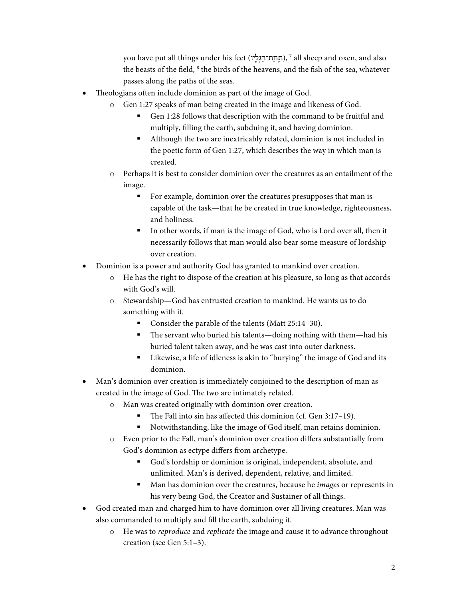you have put all things under his feet (תְחַת־רַגְלְיו), <sup>7</sup> all sheep and oxen, and also the beasts of the field,  $8$  the birds of the heavens, and the fish of the sea, whatever passes along the paths of the seas.

- Theologians often include dominion as part of the image of God.
	- o Gen 1:27 speaks of man being created in the image and likeness of God.
		- Gen 1:28 follows that description with the command to be fruitful and multiply, filling the earth, subduing it, and having dominion.
		- § Although the two are inextricably related, dominion is not included in the poetic form of Gen 1:27, which describes the way in which man is created.
	- o Perhaps it is best to consider dominion over the creatures as an entailment of the image.
		- For example, dominion over the creatures presupposes that man is capable of the task—that he be created in true knowledge, righteousness, and holiness.
		- In other words, if man is the image of God, who is Lord over all, then it necessarily follows that man would also bear some measure of lordship over creation.
- Dominion is a power and authority God has granted to mankind over creation.
	- o He has the right to dispose of the creation at his pleasure, so long as that accords with God's will.
	- o Stewardship—God has entrusted creation to mankind. He wants us to do something with it.
		- § Consider the parable of the talents (Matt 25:14–30).
		- The servant who buried his talents—doing nothing with them—had his buried talent taken away, and he was cast into outer darkness.
		- Likewise, a life of idleness is akin to "burying" the image of God and its dominion.
- Man's dominion over creation is immediately conjoined to the description of man as created in the image of God. The two are intimately related.
	- o Man was created originally with dominion over creation.
		- The Fall into sin has affected this dominion (cf. Gen 3:17-19).
		- Notwithstanding, like the image of God itself, man retains dominion.
	- o Even prior to the Fall, man's dominion over creation differs substantially from God's dominion as ectype differs from archetype.
		- § God's lordship or dominion is original, independent, absolute, and unlimited. Man's is derived, dependent, relative, and limited.
		- Man has dominion over the creatures, because he *images* or represents in his very being God, the Creator and Sustainer of all things.
- God created man and charged him to have dominion over all living creatures. Man was also commanded to multiply and fill the earth, subduing it.
	- o He was to *reproduce* and *replicate* the image and cause it to advance throughout creation (see Gen 5:1–3).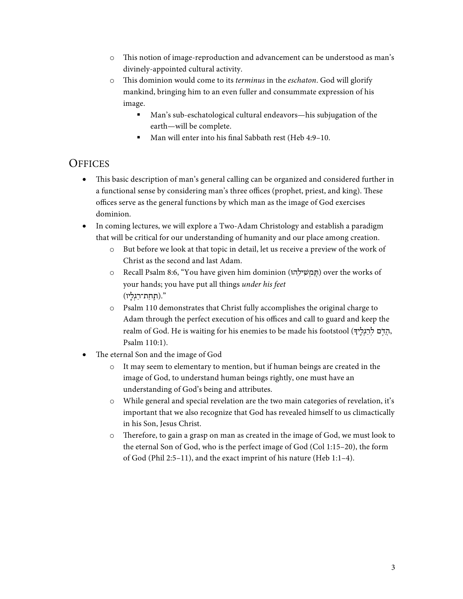- o This notion of image-reproduction and advancement can be understood as man's divinely-appointed cultural activity.
- o This dominion would come to its *terminus* in the *eschaton*. God will glorify mankind, bringing him to an even fuller and consummate expression of his image.
	- § Man's sub-eschatological cultural endeavors—his subjugation of the earth—will be complete.
	- Man will enter into his final Sabbath rest (Heb 4:9–10.

### **OFFICES**

- This basic description of man's general calling can be organized and considered further in a functional sense by considering man's three offices (prophet, priest, and king). These offices serve as the general functions by which man as the image of God exercises dominion.
- In coming lectures, we will explore a Two-Adam Christology and establish a paradigm that will be critical for our understanding of humanity and our place among creation.
	- o But before we look at that topic in detail, let us receive a preview of the work of Christ as the second and last Adam.
	- o Recall Psalm 8:6, "You have given him dominion (חֵמְשִׁילֵהוּ) over the works of your hands; you have put all things *under his feet* ".(תַֽ חַ ת־רַ גְ לָֽיו)
	- o Psalm 110 demonstrates that Christ fully accomplishes the original charge to Adam through the perfect execution of his offices and call to guard and keep the realm of God. He is waiting for his enemies to be made his footstool (הֵדָם לְרַגְלֵיךָ, Psalm 110:1).
- The eternal Son and the image of God
	- o It may seem to elementary to mention, but if human beings are created in the image of God, to understand human beings rightly, one must have an understanding of God's being and attributes.
	- $\circ$  While general and special revelation are the two main categories of revelation, it's important that we also recognize that God has revealed himself to us climactically in his Son, Jesus Christ.
	- o Therefore, to gain a grasp on man as created in the image of God, we must look to the eternal Son of God, who is the perfect image of God (Col 1:15–20), the form of God (Phil 2:5–11), and the exact imprint of his nature (Heb 1:1–4).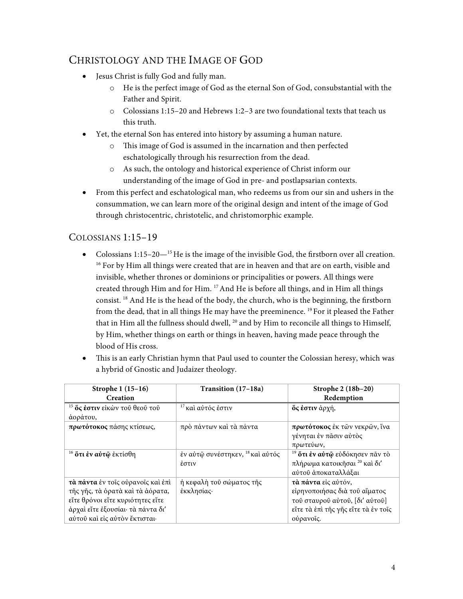## CHRISTOLOGY AND THE IMAGE OF GOD

- Jesus Christ is fully God and fully man.
	- o He is the perfect image of God as the eternal Son of God, consubstantial with the Father and Spirit.
	- o Colossians 1:15–20 and Hebrews 1:2–3 are two foundational texts that teach us this truth.
- Yet, the eternal Son has entered into history by assuming a human nature.
	- o This image of God is assumed in the incarnation and then perfected eschatologically through his resurrection from the dead.
	- o As such, the ontology and historical experience of Christ inform our understanding of the image of God in pre- and postlapsarian contexts.
- From this perfect and eschatological man, who redeems us from our sin and ushers in the consummation, we can learn more of the original design and intent of the image of God through christocentric, christotelic, and christomorphic example.

#### COLOSSIANS 1:15–19

- Colossians  $1:15-20-^{15}$  He is the image of the invisible God, the firstborn over all creation. <sup>16</sup> For by Him all things were created that are in heaven and that are on earth, visible and invisible, whether thrones or dominions or principalities or powers. All things were created through Him and for Him. 17 And He is before all things, and in Him all things consist. 18 And He is the head of the body, the church, who is the beginning, the firstborn from the dead, that in all things He may have the preeminence. 19 For it pleased the Father that in Him all the fullness should dwell, <sup>20</sup> and by Him to reconcile all things to Himself, by Him, whether things on earth or things in heaven, having made peace through the blood of His cross.
- This is an early Christian hymn that Paul used to counter the Colossian heresy, which was a hybrid of Gnostic and Judaizer theology.

| Strophe 1 (15-16)<br>Creation                                                                                                                                                   | Transition (17–18a)                                  | Strophe 2 (18b-20)<br>Redemption                                                                                                           |
|---------------------------------------------------------------------------------------------------------------------------------------------------------------------------------|------------------------------------------------------|--------------------------------------------------------------------------------------------------------------------------------------------|
| <sup>15</sup> <b>ὅς ἐστιν</b> εἰκὼν τοῦ θεοῦ τοῦ<br>άοράτου,                                                                                                                    | <sup>17</sup> και αύτός έστιν                        | <b>ὄς ἐστιν</b> ἀρχή,                                                                                                                      |
| πρωτότοκος πάσης κτίσεως,                                                                                                                                                       | πρὸ πάντων καὶ τὰ πάντα                              | πρωτότοκος έκ τῶν νεκρῶν, ἵνα<br>γένηται έν πάσιν αύτος<br>πρωτεύων,                                                                       |
| <sup>16</sup> <b>ότι έν αύτ</b> φ έκτίσθη                                                                                                                                       | έν αύτῷ συνέστηκεν, <sup>18</sup> και αύτός<br>έστιν | <sup>19</sup> <b>ὅτι ἐν αὐτῷ</b> εὐδόκησεν πᾶν τὸ<br>πλήρωμα κατοικῆσαι <sup>20</sup> καὶ δι'<br>αύτοῦ ἀποκαταλλάξαι                       |
| τά πάντα έν τοις ούρανοις και έπι<br>τῆς γῆς, τὰ ὁρατὰ καὶ τὰ ἀόρατα,<br>εΐτε θρόνοι εΐτε κυριότητες εΐτε<br>άρχαί εἴτε έξουσίαι· τὰ πάντα δι'<br>αύτοῦ καὶ εἰς αὐτὸν ἔκτισται· | ή κεφαλή τοῦ σώματος τῆς<br>έκκλησίας·               | τά πάντα είς αύτόν,<br>είρηνοποιήσας διά του αίματος<br>τοῦ σταυροῦ αὐτοῦ, [δι' αὐτοῦ]<br>είτε τα έπι της γης είτε τα έν τοίς<br>ούρανοίς. |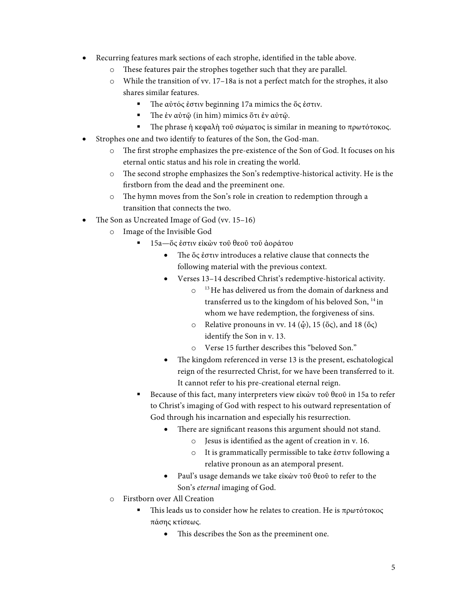- Recurring features mark sections of each strophe, identified in the table above.
	- These features pair the strophes together such that they are parallel.
	- o While the transition of vv. 17–18a is not a perfect match for the strophes, it also shares similar features.
		- § The αὐτός ἐστιν beginning 17a mimics the ὅς ἐστιν.
		- § The ἐν αὐτῷ (in him) mimics ὅτι ἐν αὐτῷ.
		- **•** The phrase ή κεφαλή τοῦ σώματος is similar in meaning to πρωτότοκος.
- Strophes one and two identify to features of the Son, the God-man.
	- o The first strophe emphasizes the pre-existence of the Son of God. It focuses on his eternal ontic status and his role in creating the world.
	- o The second strophe emphasizes the Son's redemptive-historical activity. He is the firstborn from the dead and the preeminent one.
	- o The hymn moves from the Son's role in creation to redemption through a transition that connects the two.
- The Son as Uncreated Image of God (vv. 15–16)
	- o Image of the Invisible God
		- § 15a—ὅς ἐστιν εἰκὼν τοῦ θεοῦ τοῦ ἀοράτου
			- The ὅς ἐστιν introduces a relative clause that connects the following material with the previous context.
			- Verses 13–14 described Christ's redemptive-historical activity.
				- $\circ$ <sup>13</sup> He has delivered us from the domain of darkness and transferred us to the kingdom of his beloved Son, 14 in whom we have redemption, the forgiveness of sins.
				- $\circ$  Relative pronouns in vv. 14 ( $\phi$ ), 15 ( $\delta \varsigma$ ), and 18 ( $\delta \varsigma$ ) identify the Son in v. 13.
				- o Verse 15 further describes this "beloved Son."
			- The kingdom referenced in verse 13 is the present, eschatological reign of the resurrected Christ, for we have been transferred to it. It cannot refer to his pre-creational eternal reign.
		- Because of this fact, many interpreters view εἰκὼν τοῦ θεοῦ in 15a to refer to Christ's imaging of God with respect to his outward representation of God through his incarnation and especially his resurrection.
			- There are significant reasons this argument should not stand.
				- o Jesus is identified as the agent of creation in v. 16.
				- o It is grammatically permissible to take ἐστιν following a relative pronoun as an atemporal present.
			- Paul's usage demands we take εἰκὼν τοῦ θεοῦ to refer to the Son's *eternal* imaging of God.
	- o Firstborn over All Creation
		- § This leads us to consider how he relates to creation. He is πρωτότοκος πάσης κτίσεως.
			- This describes the Son as the preeminent one.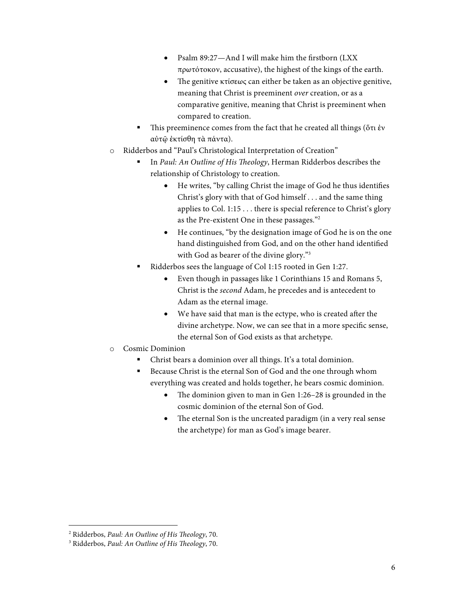- Psalm 89:27—And I will make him the firstborn (LXX πρωτότοκον, accusative), the highest of the kings of the earth.
- The genitive κτίσεως can either be taken as an objective genitive, meaning that Christ is preeminent *over* creation, or as a comparative genitive, meaning that Christ is preeminent when compared to creation.
- This preeminence comes from the fact that he created all things (ὅτι ἐν αὐτῷ ἐκτίσθη τὰ πάντα).
- o Ridderbos and "Paul's Christological Interpretation of Creation"
	- § In *Paul: An Outline of His Theology*, Herman Ridderbos describes the relationship of Christology to creation.
		- He writes, "by calling Christ the image of God he thus identifies Christ's glory with that of God himself . . . and the same thing applies to Col. 1:15 . . . there is special reference to Christ's glory as the Pre-existent One in these passages."2
		- He continues, "by the designation image of God he is on the one hand distinguished from God, and on the other hand identified with God as bearer of the divine glory."3
	- Ridderbos sees the language of Col 1:15 rooted in Gen 1:27.
		- Even though in passages like 1 Corinthians 15 and Romans 5, Christ is the *second* Adam, he precedes and is antecedent to Adam as the eternal image.
		- We have said that man is the ectype, who is created after the divine archetype. Now, we can see that in a more specific sense, the eternal Son of God exists as that archetype.
- o Cosmic Dominion
	- § Christ bears a dominion over all things. It's a total dominion.
	- Because Christ is the eternal Son of God and the one through whom everything was created and holds together, he bears cosmic dominion.
		- The dominion given to man in Gen 1:26–28 is grounded in the cosmic dominion of the eternal Son of God.
		- The eternal Son is the uncreated paradigm (in a very real sense the archetype) for man as God's image bearer.

 <sup>2</sup> Ridderbos, *Paul: An Outline of His Theology*, 70.

<sup>3</sup> Ridderbos, *Paul: An Outline of His Theology*, 70.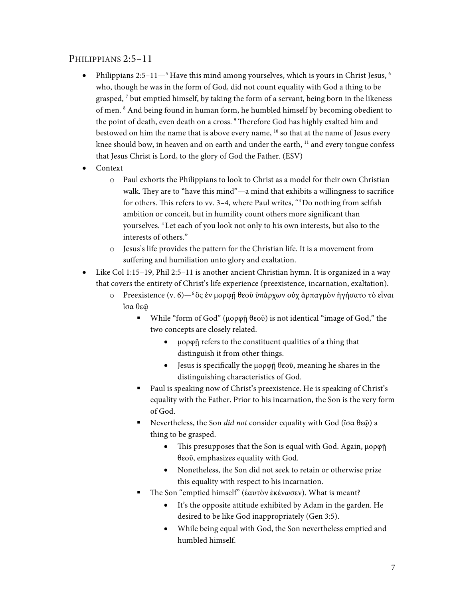#### PHILIPPIANS 2:5–11

- Philippians 2:5–11 $-$ <sup>5</sup> Have this mind among yourselves, which is yours in Christ Jesus,  $\frac{6}{1}$ who, though he was in the form of God, did not count equality with God a thing to be grasped,  $7$  but emptied himself, by taking the form of a servant, being born in the likeness of men. 8 And being found in human form, he humbled himself by becoming obedient to the point of death, even death on a cross.<sup>9</sup> Therefore God has highly exalted him and bestowed on him the name that is above every name, <sup>10</sup> so that at the name of Jesus every knee should bow, in heaven and on earth and under the earth, <sup>11</sup> and every tongue confess that Jesus Christ is Lord, to the glory of God the Father. (ESV)
- Context
	- o Paul exhorts the Philippians to look to Christ as a model for their own Christian walk. They are to "have this mind"—a mind that exhibits a willingness to sacrifice for others. This refers to vv. 3-4, where Paul writes, "3Do nothing from selfish ambition or conceit, but in humility count others more significant than yourselves. 4 Let each of you look not only to his own interests, but also to the interests of others."
	- o Jesus's life provides the pattern for the Christian life. It is a movement from suffering and humiliation unto glory and exaltation.
- Like Col 1:15–19, Phil 2:5–11 is another ancient Christian hymn. It is organized in a way that covers the entirety of Christ's life experience (preexistence, incarnation, exaltation).
	- o Preexistence (v. 6)—6 ὃς ἐν μορφῇ θεοῦ ὑπάρχων οὐχ ἁρπαγμὸν ἡγήσατο τὸ εἶναι ἴσα θεῷ
		- While "form of God" (μορφῆ θεοῦ) is not identical "image of God," the two concepts are closely related.
			- μορφῇ refers to the constituent qualities of a thing that distinguish it from other things.
			- Jesus is specifically the μορφῇ θεοῦ, meaning he shares in the distinguishing characteristics of God.
		- Paul is speaking now of Christ's preexistence. He is speaking of Christ's equality with the Father. Prior to his incarnation, the Son is the very form of God.
		- § Nevertheless, the Son *did not* consider equality with God (ἴσα θεῷ) a thing to be grasped.
			- This presupposes that the Son is equal with God. Again, μορφῇ θεοῦ, emphasizes equality with God.
			- Nonetheless, the Son did not seek to retain or otherwise prize this equality with respect to his incarnation.
		- § The Son "emptied himself" (ἑαυτὸν ἐκένωσεν). What is meant?
			- It's the opposite attitude exhibited by Adam in the garden. He desired to be like God inappropriately (Gen 3:5).
			- While being equal with God, the Son nevertheless emptied and humbled himself.